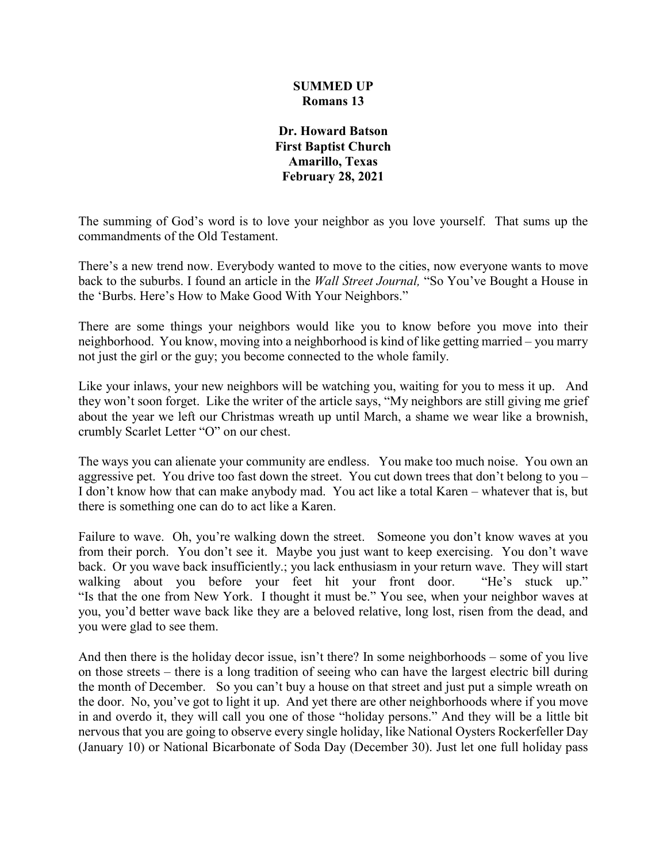## **SUMMED UP Romans 13**

**Dr. Howard Batson First Baptist Church Amarillo, Texas February 28, 2021**

The summing of God's word is to love your neighbor as you love yourself. That sums up the commandments of the Old Testament.

There's a new trend now. Everybody wanted to move to the cities, now everyone wants to move back to the suburbs. I found an article in the *Wall Street Journal,* "So You've Bought a House in the 'Burbs. Here's How to Make Good With Your Neighbors."

There are some things your neighbors would like you to know before you move into their neighborhood. You know, moving into a neighborhood is kind of like getting married – you marry not just the girl or the guy; you become connected to the whole family.

Like your inlaws, your new neighbors will be watching you, waiting for you to mess it up. And they won't soon forget. Like the writer of the article says, "My neighbors are still giving me grief about the year we left our Christmas wreath up until March, a shame we wear like a brownish, crumbly Scarlet Letter "O" on our chest.

The ways you can alienate your community are endless. You make too much noise. You own an aggressive pet. You drive too fast down the street. You cut down trees that don't belong to you – I don't know how that can make anybody mad. You act like a total Karen – whatever that is, but there is something one can do to act like a Karen.

Failure to wave. Oh, you're walking down the street. Someone you don't know waves at you from their porch. You don't see it. Maybe you just want to keep exercising. You don't wave back. Or you wave back insufficiently.; you lack enthusiasm in your return wave. They will start walking about you before your feet hit your front door. "He's stuck up." "Is that the one from New York. I thought it must be." You see, when your neighbor waves at you, you'd better wave back like they are a beloved relative, long lost, risen from the dead, and you were glad to see them.

And then there is the holiday decor issue, isn't there? In some neighborhoods – some of you live on those streets – there is a long tradition of seeing who can have the largest electric bill during the month of December. So you can't buy a house on that street and just put a simple wreath on the door. No, you've got to light it up. And yet there are other neighborhoods where if you move in and overdo it, they will call you one of those "holiday persons." And they will be a little bit nervous that you are going to observe every single holiday, like National Oysters Rockerfeller Day (January 10) or National Bicarbonate of Soda Day (December 30). Just let one full holiday pass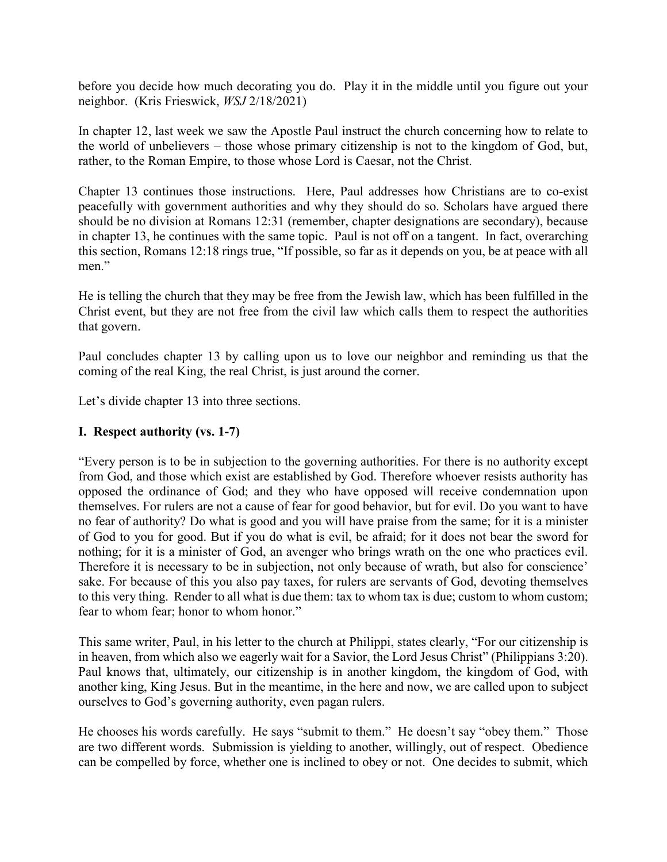before you decide how much decorating you do. Play it in the middle until you figure out your neighbor. (Kris Frieswick, *WSJ* 2/18/2021)

In chapter 12, last week we saw the Apostle Paul instruct the church concerning how to relate to the world of unbelievers – those whose primary citizenship is not to the kingdom of God, but, rather, to the Roman Empire, to those whose Lord is Caesar, not the Christ.

Chapter 13 continues those instructions. Here, Paul addresses how Christians are to co-exist peacefully with government authorities and why they should do so. Scholars have argued there should be no division at Romans 12:31 (remember, chapter designations are secondary), because in chapter 13, he continues with the same topic. Paul is not off on a tangent. In fact, overarching this section, Romans 12:18 rings true, "If possible, so far as it depends on you, be at peace with all men."

He is telling the church that they may be free from the Jewish law, which has been fulfilled in the Christ event, but they are not free from the civil law which calls them to respect the authorities that govern.

Paul concludes chapter 13 by calling upon us to love our neighbor and reminding us that the coming of the real King, the real Christ, is just around the corner.

Let's divide chapter 13 into three sections.

## **I. Respect authority (vs. 1-7)**

"Every person is to be in subjection to the governing authorities. For there is no authority except from God, and those which exist are established by God. Therefore whoever resists authority has opposed the ordinance of God; and they who have opposed will receive condemnation upon themselves. For rulers are not a cause of fear for good behavior, but for evil. Do you want to have no fear of authority? Do what is good and you will have praise from the same; for it is a minister of God to you for good. But if you do what is evil, be afraid; for it does not bear the sword for nothing; for it is a minister of God, an avenger who brings wrath on the one who practices evil. Therefore it is necessary to be in subjection, not only because of wrath, but also for conscience' sake. For because of this you also pay taxes, for rulers are servants of God, devoting themselves to this very thing. Render to all what is due them: tax to whom tax is due; custom to whom custom; fear to whom fear; honor to whom honor."

This same writer, Paul, in his letter to the church at Philippi, states clearly, "For our citizenship is in heaven, from which also we eagerly wait for a Savior, the Lord Jesus Christ" (Philippians 3:20). Paul knows that, ultimately, our citizenship is in another kingdom, the kingdom of God, with another king, King Jesus. But in the meantime, in the here and now, we are called upon to subject ourselves to God's governing authority, even pagan rulers.

He chooses his words carefully. He says "submit to them." He doesn't say "obey them." Those are two different words. Submission is yielding to another, willingly, out of respect. Obedience can be compelled by force, whether one is inclined to obey or not. One decides to submit, which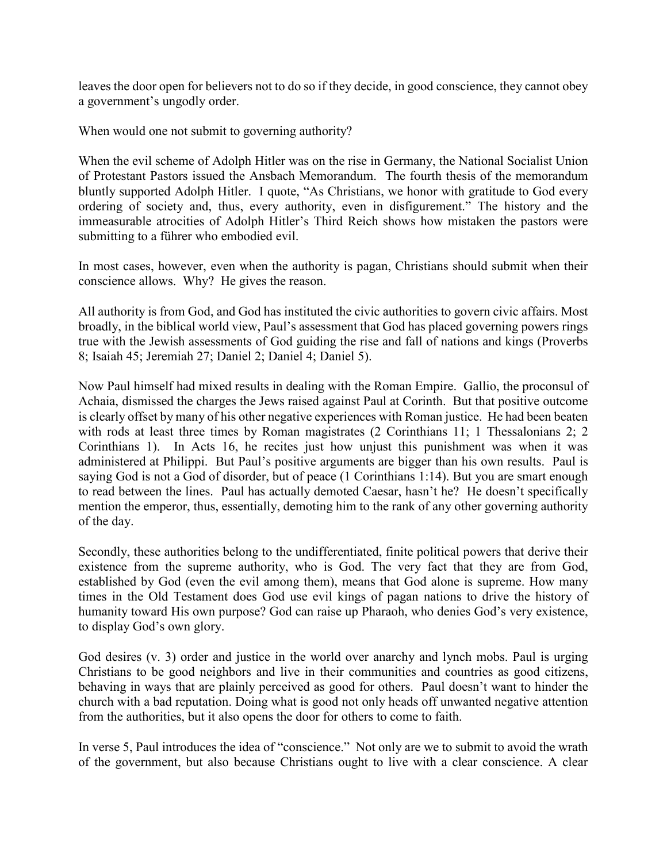leaves the door open for believers not to do so if they decide, in good conscience, they cannot obey a government's ungodly order.

When would one not submit to governing authority?

When the evil scheme of Adolph Hitler was on the rise in Germany, the National Socialist Union of Protestant Pastors issued the Ansbach Memorandum. The fourth thesis of the memorandum bluntly supported Adolph Hitler. I quote, "As Christians, we honor with gratitude to God every ordering of society and, thus, every authority, even in disfigurement." The history and the immeasurable atrocities of Adolph Hitler's Third Reich shows how mistaken the pastors were submitting to a führer who embodied evil.

In most cases, however, even when the authority is pagan, Christians should submit when their conscience allows. Why? He gives the reason.

All authority is from God, and God has instituted the civic authorities to govern civic affairs. Most broadly, in the biblical world view, Paul's assessment that God has placed governing powers rings true with the Jewish assessments of God guiding the rise and fall of nations and kings (Proverbs 8; Isaiah 45; Jeremiah 27; Daniel 2; Daniel 4; Daniel 5).

Now Paul himself had mixed results in dealing with the Roman Empire. Gallio, the proconsul of Achaia, dismissed the charges the Jews raised against Paul at Corinth. But that positive outcome is clearly offset by many of his other negative experiences with Roman justice. He had been beaten with rods at least three times by Roman magistrates (2 Corinthians 11; 1 Thessalonians 2; 2 Corinthians 1). In Acts 16, he recites just how unjust this punishment was when it was administered at Philippi. But Paul's positive arguments are bigger than his own results. Paul is saying God is not a God of disorder, but of peace (1 Corinthians 1:14). But you are smart enough to read between the lines. Paul has actually demoted Caesar, hasn't he? He doesn't specifically mention the emperor, thus, essentially, demoting him to the rank of any other governing authority of the day.

Secondly, these authorities belong to the undifferentiated, finite political powers that derive their existence from the supreme authority, who is God. The very fact that they are from God, established by God (even the evil among them), means that God alone is supreme. How many times in the Old Testament does God use evil kings of pagan nations to drive the history of humanity toward His own purpose? God can raise up Pharaoh, who denies God's very existence, to display God's own glory.

God desires (v. 3) order and justice in the world over anarchy and lynch mobs. Paul is urging Christians to be good neighbors and live in their communities and countries as good citizens, behaving in ways that are plainly perceived as good for others. Paul doesn't want to hinder the church with a bad reputation. Doing what is good not only heads off unwanted negative attention from the authorities, but it also opens the door for others to come to faith.

In verse 5, Paul introduces the idea of "conscience." Not only are we to submit to avoid the wrath of the government, but also because Christians ought to live with a clear conscience. A clear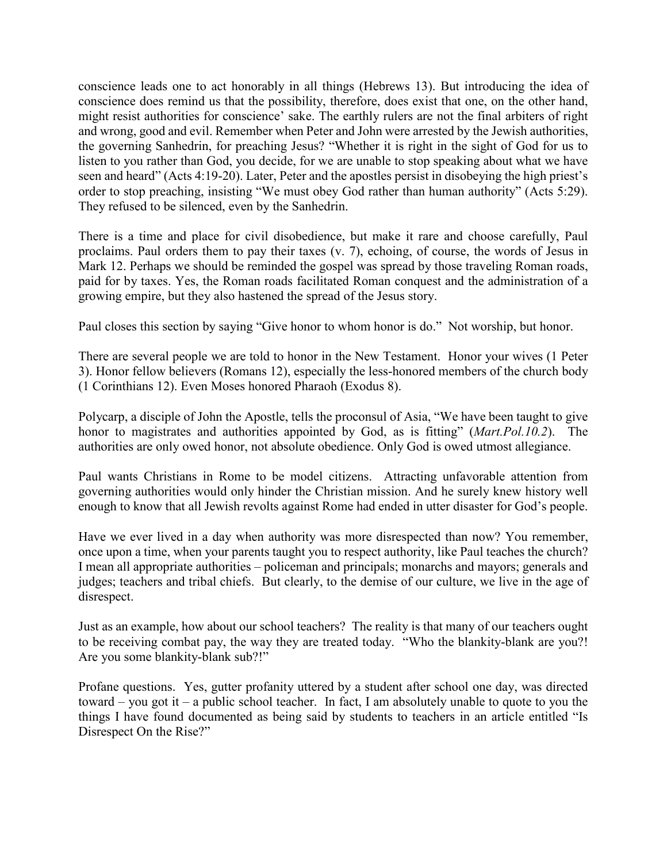conscience leads one to act honorably in all things (Hebrews 13). But introducing the idea of conscience does remind us that the possibility, therefore, does exist that one, on the other hand, might resist authorities for conscience' sake. The earthly rulers are not the final arbiters of right and wrong, good and evil. Remember when Peter and John were arrested by the Jewish authorities, the governing Sanhedrin, for preaching Jesus? "Whether it is right in the sight of God for us to listen to you rather than God, you decide, for we are unable to stop speaking about what we have seen and heard" (Acts 4:19-20). Later, Peter and the apostles persist in disobeying the high priest's order to stop preaching, insisting "We must obey God rather than human authority" (Acts 5:29). They refused to be silenced, even by the Sanhedrin.

There is a time and place for civil disobedience, but make it rare and choose carefully, Paul proclaims. Paul orders them to pay their taxes (v. 7), echoing, of course, the words of Jesus in Mark 12. Perhaps we should be reminded the gospel was spread by those traveling Roman roads, paid for by taxes. Yes, the Roman roads facilitated Roman conquest and the administration of a growing empire, but they also hastened the spread of the Jesus story.

Paul closes this section by saying "Give honor to whom honor is do." Not worship, but honor.

There are several people we are told to honor in the New Testament. Honor your wives (1 Peter 3). Honor fellow believers (Romans 12), especially the less-honored members of the church body (1 Corinthians 12). Even Moses honored Pharaoh (Exodus 8).

Polycarp, a disciple of John the Apostle, tells the proconsul of Asia, "We have been taught to give honor to magistrates and authorities appointed by God, as is fitting" (*Mart.Pol.10.2*). The authorities are only owed honor, not absolute obedience. Only God is owed utmost allegiance.

Paul wants Christians in Rome to be model citizens. Attracting unfavorable attention from governing authorities would only hinder the Christian mission. And he surely knew history well enough to know that all Jewish revolts against Rome had ended in utter disaster for God's people.

Have we ever lived in a day when authority was more disrespected than now? You remember, once upon a time, when your parents taught you to respect authority, like Paul teaches the church? I mean all appropriate authorities – policeman and principals; monarchs and mayors; generals and judges; teachers and tribal chiefs. But clearly, to the demise of our culture, we live in the age of disrespect.

Just as an example, how about our school teachers? The reality is that many of our teachers ought to be receiving combat pay, the way they are treated today. "Who the blankity-blank are you?! Are you some blankity-blank sub?!"

Profane questions. Yes, gutter profanity uttered by a student after school one day, was directed toward – you got it – a public school teacher. In fact, I am absolutely unable to quote to you the things I have found documented as being said by students to teachers in an article entitled "Is Disrespect On the Rise?"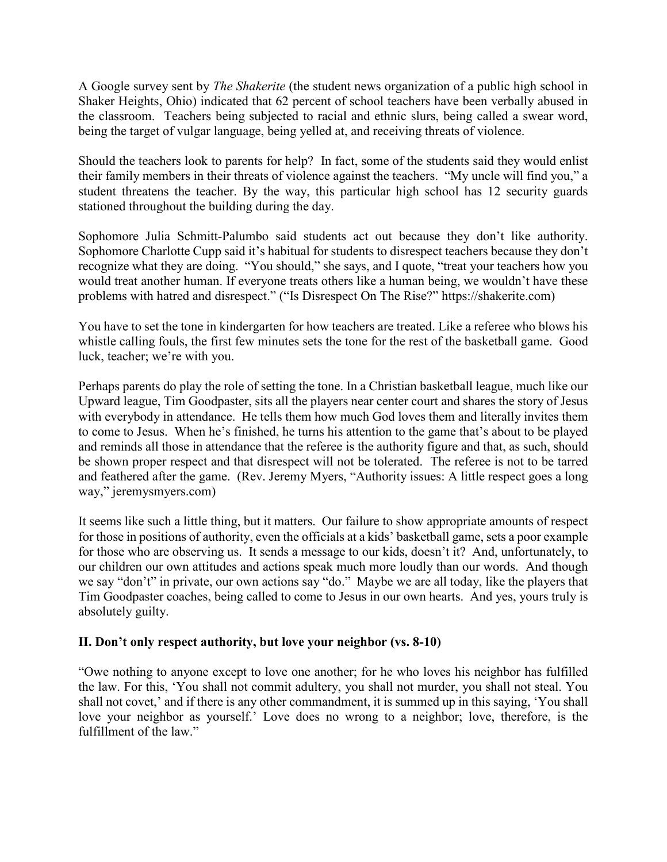A Google survey sent by *The Shakerite* (the student news organization of a public high school in Shaker Heights, Ohio) indicated that 62 percent of school teachers have been verbally abused in the classroom. Teachers being subjected to racial and ethnic slurs, being called a swear word, being the target of vulgar language, being yelled at, and receiving threats of violence.

Should the teachers look to parents for help? In fact, some of the students said they would enlist their family members in their threats of violence against the teachers. "My uncle will find you," a student threatens the teacher. By the way, this particular high school has 12 security guards stationed throughout the building during the day.

Sophomore Julia Schmitt-Palumbo said students act out because they don't like authority. Sophomore Charlotte Cupp said it's habitual for students to disrespect teachers because they don't recognize what they are doing. "You should," she says, and I quote, "treat your teachers how you would treat another human. If everyone treats others like a human being, we wouldn't have these problems with hatred and disrespect." ("Is Disrespect On The Rise?" https://shakerite.com)

You have to set the tone in kindergarten for how teachers are treated. Like a referee who blows his whistle calling fouls, the first few minutes sets the tone for the rest of the basketball game. Good luck, teacher; we're with you.

Perhaps parents do play the role of setting the tone. In a Christian basketball league, much like our Upward league, Tim Goodpaster, sits all the players near center court and shares the story of Jesus with everybody in attendance. He tells them how much God loves them and literally invites them to come to Jesus. When he's finished, he turns his attention to the game that's about to be played and reminds all those in attendance that the referee is the authority figure and that, as such, should be shown proper respect and that disrespect will not be tolerated. The referee is not to be tarred and feathered after the game. (Rev. Jeremy Myers, "Authority issues: A little respect goes a long way," jeremysmyers.com)

It seems like such a little thing, but it matters. Our failure to show appropriate amounts of respect for those in positions of authority, even the officials at a kids' basketball game, sets a poor example for those who are observing us. It sends a message to our kids, doesn't it? And, unfortunately, to our children our own attitudes and actions speak much more loudly than our words. And though we say "don't" in private, our own actions say "do." Maybe we are all today, like the players that Tim Goodpaster coaches, being called to come to Jesus in our own hearts. And yes, yours truly is absolutely guilty.

## **II. Don't only respect authority, but love your neighbor (vs. 8-10)**

"Owe nothing to anyone except to love one another; for he who loves his neighbor has fulfilled the law. For this, 'You shall not commit adultery, you shall not murder, you shall not steal. You shall not covet,' and if there is any other commandment, it is summed up in this saying, 'You shall love your neighbor as yourself.' Love does no wrong to a neighbor; love, therefore, is the fulfillment of the law."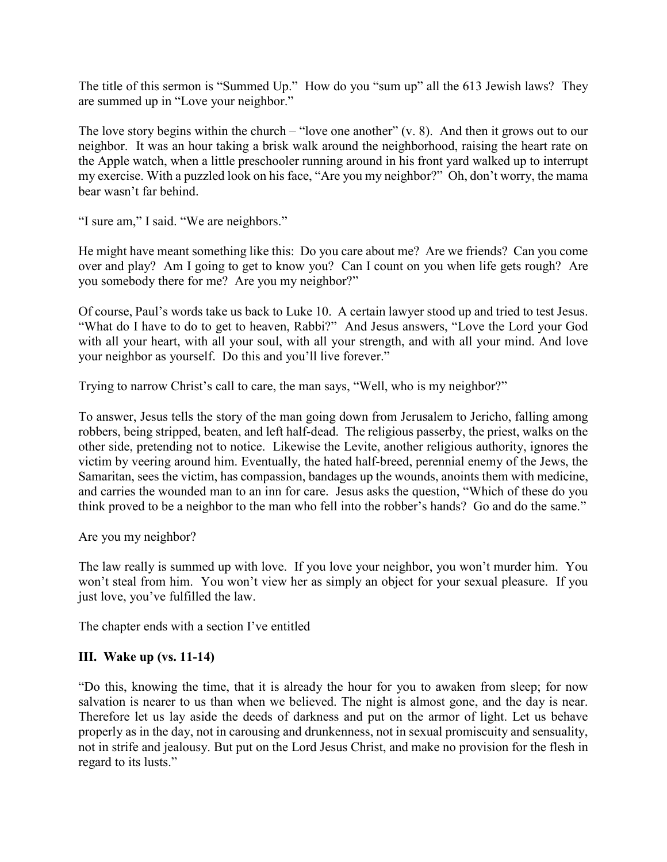The title of this sermon is "Summed Up." How do you "sum up" all the 613 Jewish laws? They are summed up in "Love your neighbor."

The love story begins within the church – "love one another"  $(v, 8)$ . And then it grows out to our neighbor. It was an hour taking a brisk walk around the neighborhood, raising the heart rate on the Apple watch, when a little preschooler running around in his front yard walked up to interrupt my exercise. With a puzzled look on his face, "Are you my neighbor?" Oh, don't worry, the mama bear wasn't far behind.

"I sure am," I said. "We are neighbors."

He might have meant something like this: Do you care about me? Are we friends? Can you come over and play? Am I going to get to know you? Can I count on you when life gets rough? Are you somebody there for me? Are you my neighbor?"

Of course, Paul's words take us back to Luke 10. A certain lawyer stood up and tried to test Jesus. "What do I have to do to get to heaven, Rabbi?" And Jesus answers, "Love the Lord your God with all your heart, with all your soul, with all your strength, and with all your mind. And love your neighbor as yourself. Do this and you'll live forever."

Trying to narrow Christ's call to care, the man says, "Well, who is my neighbor?"

To answer, Jesus tells the story of the man going down from Jerusalem to Jericho, falling among robbers, being stripped, beaten, and left half-dead. The religious passerby, the priest, walks on the other side, pretending not to notice. Likewise the Levite, another religious authority, ignores the victim by veering around him. Eventually, the hated half-breed, perennial enemy of the Jews, the Samaritan, sees the victim, has compassion, bandages up the wounds, anoints them with medicine, and carries the wounded man to an inn for care. Jesus asks the question, "Which of these do you think proved to be a neighbor to the man who fell into the robber's hands? Go and do the same."

Are you my neighbor?

The law really is summed up with love. If you love your neighbor, you won't murder him. You won't steal from him. You won't view her as simply an object for your sexual pleasure. If you just love, you've fulfilled the law.

The chapter ends with a section I've entitled

## **III. Wake up (vs. 11-14)**

"Do this, knowing the time, that it is already the hour for you to awaken from sleep; for now salvation is nearer to us than when we believed. The night is almost gone, and the day is near. Therefore let us lay aside the deeds of darkness and put on the armor of light. Let us behave properly as in the day, not in carousing and drunkenness, not in sexual promiscuity and sensuality, not in strife and jealousy. But put on the Lord Jesus Christ, and make no provision for the flesh in regard to its lusts."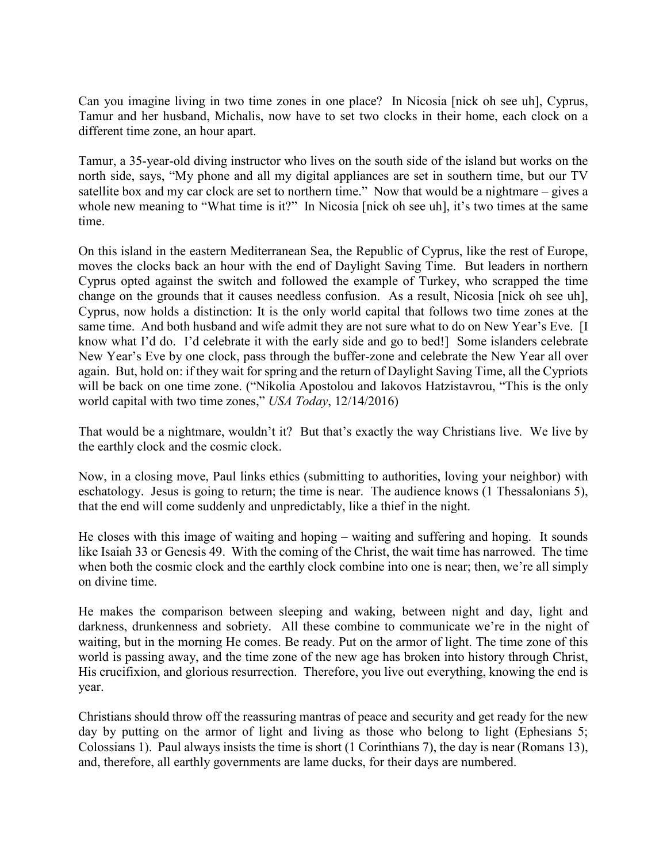Can you imagine living in two time zones in one place? In Nicosia [nick oh see uh], Cyprus, Tamur and her husband, Michalis, now have to set two clocks in their home, each clock on a different time zone, an hour apart.

Tamur, a 35-year-old diving instructor who lives on the south side of the island but works on the north side, says, "My phone and all my digital appliances are set in southern time, but our TV satellite box and my car clock are set to northern time." Now that would be a nightmare – gives a whole new meaning to "What time is it?" In Nicosia [nick oh see uh], it's two times at the same time.

On this island in the eastern Mediterranean Sea, the Republic of Cyprus, like the rest of Europe, moves the clocks back an hour with the end of Daylight Saving Time. But leaders in northern Cyprus opted against the switch and followed the example of Turkey, who scrapped the time change on the grounds that it causes needless confusion. As a result, Nicosia [nick oh see uh], Cyprus, now holds a distinction: It is the only world capital that follows two time zones at the same time. And both husband and wife admit they are not sure what to do on New Year's Eve. [I know what I'd do. I'd celebrate it with the early side and go to bed!] Some islanders celebrate New Year's Eve by one clock, pass through the buffer-zone and celebrate the New Year all over again. But, hold on: if they wait for spring and the return of Daylight Saving Time, all the Cypriots will be back on one time zone. ("Nikolia Apostolou and Iakovos Hatzistavrou, "This is the only world capital with two time zones," *USA Today*, 12/14/2016)

That would be a nightmare, wouldn't it? But that's exactly the way Christians live. We live by the earthly clock and the cosmic clock.

Now, in a closing move, Paul links ethics (submitting to authorities, loving your neighbor) with eschatology. Jesus is going to return; the time is near. The audience knows (1 Thessalonians 5), that the end will come suddenly and unpredictably, like a thief in the night.

He closes with this image of waiting and hoping – waiting and suffering and hoping. It sounds like Isaiah 33 or Genesis 49. With the coming of the Christ, the wait time has narrowed. The time when both the cosmic clock and the earthly clock combine into one is near; then, we're all simply on divine time.

He makes the comparison between sleeping and waking, between night and day, light and darkness, drunkenness and sobriety. All these combine to communicate we're in the night of waiting, but in the morning He comes. Be ready. Put on the armor of light. The time zone of this world is passing away, and the time zone of the new age has broken into history through Christ, His crucifixion, and glorious resurrection. Therefore, you live out everything, knowing the end is year.

Christians should throw off the reassuring mantras of peace and security and get ready for the new day by putting on the armor of light and living as those who belong to light (Ephesians 5; Colossians 1). Paul always insists the time is short (1 Corinthians 7), the day is near (Romans 13), and, therefore, all earthly governments are lame ducks, for their days are numbered.